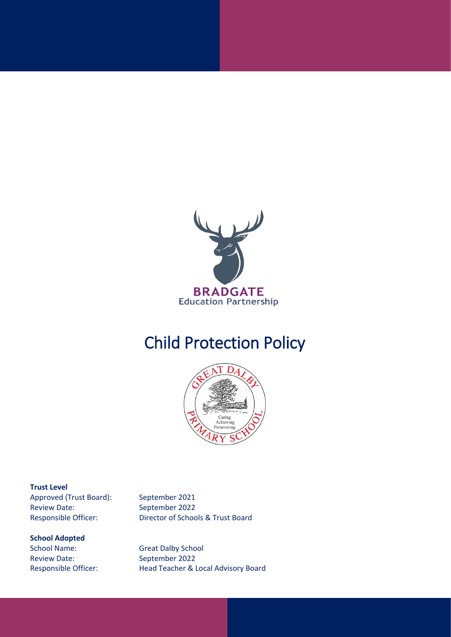

# Child Protection Policy



#### **Trust Level**

Approved (Trust Board): September 2021 Review Date: September 2022

#### **School Adopted**

School Name: Great Dalby School Review Date: September 2022

Responsible Officer: Director of Schools & Trust Board

Responsible Officer: Head Teacher & Local Advisory Board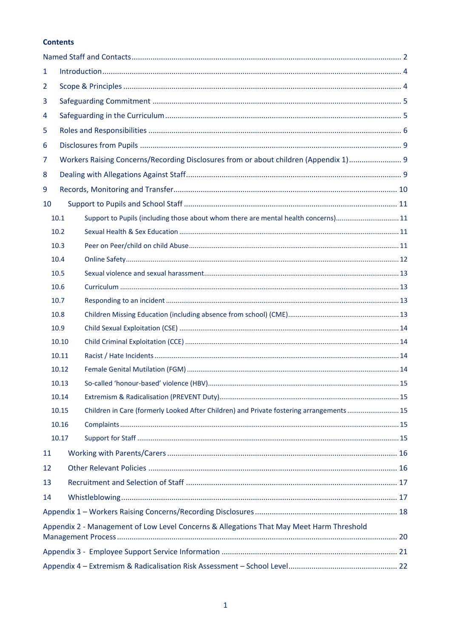## **Contents**

| 1              |       |                                                                                          |  |  |  |  |  |  |  |
|----------------|-------|------------------------------------------------------------------------------------------|--|--|--|--|--|--|--|
| $\overline{2}$ |       |                                                                                          |  |  |  |  |  |  |  |
| 3              |       |                                                                                          |  |  |  |  |  |  |  |
| 4              |       |                                                                                          |  |  |  |  |  |  |  |
| 5              |       |                                                                                          |  |  |  |  |  |  |  |
| 6              |       |                                                                                          |  |  |  |  |  |  |  |
| 7              |       | Workers Raising Concerns/Recording Disclosures from or about children (Appendix 1) 9     |  |  |  |  |  |  |  |
| 8              |       |                                                                                          |  |  |  |  |  |  |  |
| 9              |       |                                                                                          |  |  |  |  |  |  |  |
| 10             |       |                                                                                          |  |  |  |  |  |  |  |
|                | 10.1  | Support to Pupils (including those about whom there are mental health concerns) 11       |  |  |  |  |  |  |  |
|                | 10.2  |                                                                                          |  |  |  |  |  |  |  |
|                | 10.3  |                                                                                          |  |  |  |  |  |  |  |
|                | 10.4  |                                                                                          |  |  |  |  |  |  |  |
|                | 10.5  |                                                                                          |  |  |  |  |  |  |  |
|                | 10.6  |                                                                                          |  |  |  |  |  |  |  |
|                | 10.7  |                                                                                          |  |  |  |  |  |  |  |
|                | 10.8  |                                                                                          |  |  |  |  |  |  |  |
|                | 10.9  |                                                                                          |  |  |  |  |  |  |  |
|                | 10.10 |                                                                                          |  |  |  |  |  |  |  |
|                | 10.11 |                                                                                          |  |  |  |  |  |  |  |
|                | 10.12 |                                                                                          |  |  |  |  |  |  |  |
|                | 10.13 |                                                                                          |  |  |  |  |  |  |  |
|                | 10.14 |                                                                                          |  |  |  |  |  |  |  |
|                | 10.15 | Children in Care (formerly Looked After Children) and Private fostering arrangements  15 |  |  |  |  |  |  |  |
|                | 10.16 |                                                                                          |  |  |  |  |  |  |  |
|                | 10.17 |                                                                                          |  |  |  |  |  |  |  |
| 11             |       |                                                                                          |  |  |  |  |  |  |  |
| 12             |       |                                                                                          |  |  |  |  |  |  |  |
| 13             |       |                                                                                          |  |  |  |  |  |  |  |
| 14             |       |                                                                                          |  |  |  |  |  |  |  |
|                |       |                                                                                          |  |  |  |  |  |  |  |
|                |       | Appendix 2 - Management of Low Level Concerns & Allegations That May Meet Harm Threshold |  |  |  |  |  |  |  |
|                |       |                                                                                          |  |  |  |  |  |  |  |
|                |       |                                                                                          |  |  |  |  |  |  |  |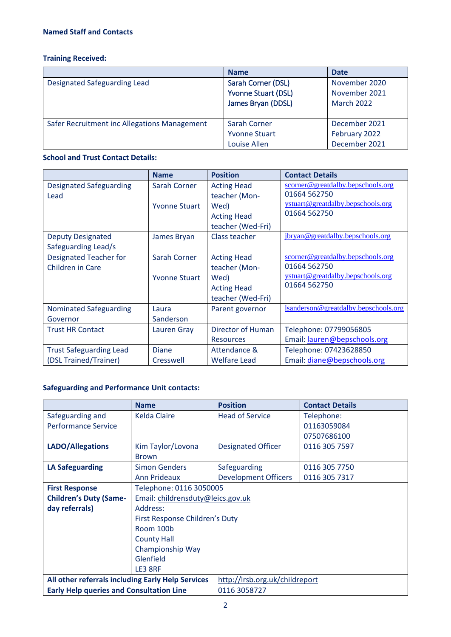# <span id="page-2-0"></span>**Training Received:**

|                                              | <b>Name</b>                                                            | <b>Date</b>                                         |
|----------------------------------------------|------------------------------------------------------------------------|-----------------------------------------------------|
| Designated Safeguarding Lead                 | Sarah Corner (DSL)<br><b>Yvonne Stuart (DSL)</b><br>James Bryan (DDSL) | November 2020<br>November 2021<br><b>March 2022</b> |
| Safer Recruitment inc Allegations Management | <b>Sarah Corner</b><br><b>Yvonne Stuart</b><br>Louise Allen            | December 2021<br>February 2022<br>December 2021     |

## **School and Trust Contact Details:**

|                                | <b>Name</b>          | <b>Position</b>    | <b>Contact Details</b>               |
|--------------------------------|----------------------|--------------------|--------------------------------------|
| <b>Designated Safeguarding</b> | Sarah Corner         | <b>Acting Head</b> | scorner@greatdalby.bepschools.org    |
| Lead                           |                      | teacher (Mon-      | 01664 562750                         |
|                                | <b>Yvonne Stuart</b> | Wed)               | ystuart@greatdalby.bepschools.org    |
|                                |                      | <b>Acting Head</b> | 01664 562750                         |
|                                |                      | teacher (Wed-Fri)  |                                      |
| <b>Deputy Designated</b>       | James Bryan          | Class teacher      | jbryan@greatdalby.bepschools.org     |
| Safeguarding Lead/s            |                      |                    |                                      |
| Designated Teacher for         | Sarah Corner         | <b>Acting Head</b> | scorner@greatdalby.bepschools.org    |
| <b>Children in Care</b>        |                      | teacher (Mon-      | 01664 562750                         |
|                                | <b>Yvonne Stuart</b> | Wed)               | ystuart@greatdalby.bepschools.org    |
|                                |                      | <b>Acting Head</b> | 01664 562750                         |
|                                |                      | teacher (Wed-Fri)  |                                      |
| <b>Nominated Safeguarding</b>  | Laura                | Parent governor    | Isanderson@greatdalby.bepschools.org |
| Governor                       | Sanderson            |                    |                                      |
| <b>Trust HR Contact</b>        | Lauren Gray          | Director of Human  | Telephone: 07799056805               |
|                                |                      | <b>Resources</b>   | Email: lauren@bepschools.org         |
| <b>Trust Safeguarding Lead</b> | <b>Diane</b>         | Attendance &       | Telephone: 07423628850               |
| (DSL Trained/Trainer)          | Cresswell            | Welfare Lead       | Email: diane@bepschools.org          |

# **Safeguarding and Performance Unit contacts:**

|                                                                    | <b>Name</b>                    | <b>Position</b>                | <b>Contact Details</b> |
|--------------------------------------------------------------------|--------------------------------|--------------------------------|------------------------|
| Safeguarding and                                                   | <b>Kelda Claire</b>            | <b>Head of Service</b>         | Telephone:             |
| <b>Performance Service</b>                                         |                                |                                | 01163059084            |
|                                                                    |                                |                                | 07507686100            |
| <b>LADO/Allegations</b>                                            | Kim Taylor/Lovona              | <b>Designated Officer</b>      | 0116 305 7597          |
|                                                                    | <b>Brown</b>                   |                                |                        |
| <b>LA Safeguarding</b>                                             | <b>Simon Genders</b>           | Safeguarding                   | 0116 305 7750          |
|                                                                    | Ann Prideaux                   | <b>Development Officers</b>    | 0116 305 7317          |
| <b>First Response</b>                                              | Telephone: 0116 3050005        |                                |                        |
| <b>Children's Duty (Same-</b><br>Email: childrensduty@leics.gov.uk |                                |                                |                        |
| day referrals)<br>Address:                                         |                                |                                |                        |
|                                                                    | First Response Children's Duty |                                |                        |
|                                                                    | Room 100b                      |                                |                        |
|                                                                    | <b>County Hall</b>             |                                |                        |
|                                                                    | Championship Way               |                                |                        |
|                                                                    | Glenfield                      |                                |                        |
|                                                                    | LE3 8RF                        |                                |                        |
| All other referrals including Early Help Services                  |                                | http://lrsb.org.uk/childreport |                        |
| <b>Early Help queries and Consultation Line</b>                    |                                | 0116 3058727                   |                        |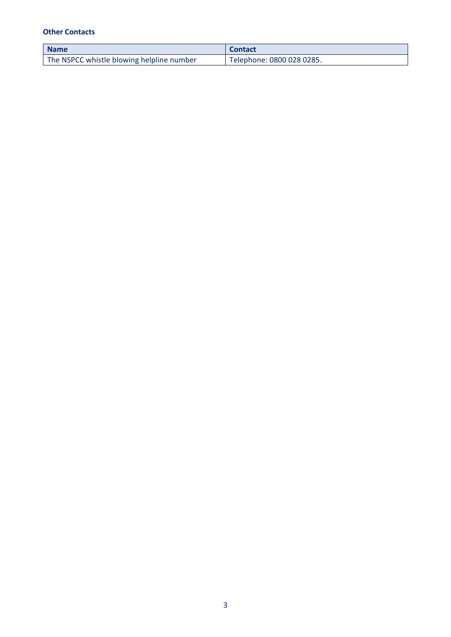## **Other Contacts**

| <b>Name</b>                               | <b>Contact</b>            |
|-------------------------------------------|---------------------------|
| The NSPCC whistle blowing helpline number | Telephone: 0800 028 0285. |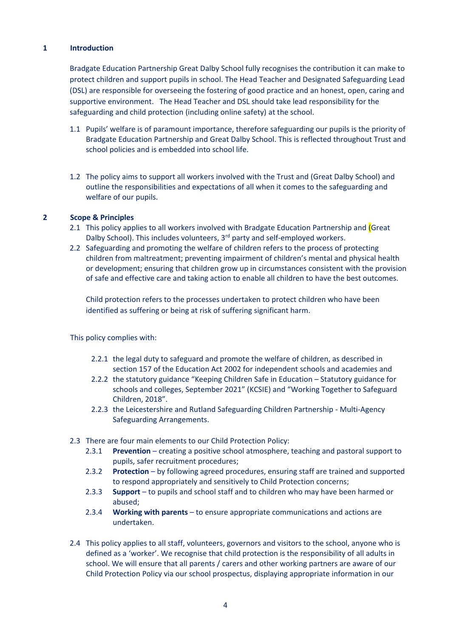## <span id="page-4-0"></span>**1 Introduction**

Bradgate Education Partnership Great Dalby School fully recognises the contribution it can make to protect children and support pupils in school. The Head Teacher and Designated Safeguarding Lead (DSL) are responsible for overseeing the fostering of good practice and an honest, open, caring and supportive environment. The Head Teacher and DSL should take lead responsibility for the safeguarding and child protection (including online safety) at the school.

- 1.1 Pupils' welfare is of paramount importance, therefore safeguarding our pupils is the priority of Bradgate Education Partnership and Great Dalby School. This is reflected throughout Trust and school policies and is embedded into school life.
- 1.2 The policy aims to support all workers involved with the Trust and (Great Dalby School) and outline the responsibilities and expectations of all when it comes to the safeguarding and welfare of our pupils.

## <span id="page-4-1"></span>**2 Scope & Principles**

- 2.1 This policy applies to all workers involved with Bradgate Education Partnership and (Great Dalby School). This includes volunteers, 3<sup>rd</sup> party and self-employed workers.
- 2.2 Safeguarding and promoting the welfare of children refers to the process of protecting children from maltreatment; preventing impairment of children's mental and physical health or development; ensuring that children grow up in circumstances consistent with the provision of safe and effective care and taking action to enable all children to have the best outcomes.

Child protection refers to the processes undertaken to protect children who have been identified as suffering or being at risk of suffering significant harm.

This policy complies with:

- 2.2.1 the legal duty to safeguard and promote the welfare of children, as described in section 157 of the Education Act 2002 for independent schools and academies and
- 2.2.2 the statutory guidance "Keeping Children Safe in Education Statutory guidance for schools and colleges, September 2021" (KCSIE) and "Working Together to Safeguard Children, 2018".
- 2.2.3 the Leicestershire and Rutland Safeguarding Children Partnership Multi-Agency Safeguarding Arrangements.
- 2.3 There are four main elements to our Child Protection Policy:
	- 2.3.1 **Prevention** creating a positive school atmosphere, teaching and pastoral support to pupils, safer recruitment procedures;
	- 2.3.2 **Protection** by following agreed procedures, ensuring staff are trained and supported to respond appropriately and sensitively to Child Protection concerns;
	- 2.3.3 **Support** to pupils and school staff and to children who may have been harmed or abused;
	- 2.3.4 **Working with parents** to ensure appropriate communications and actions are undertaken.
- 2.4 This policy applies to all staff, volunteers, governors and visitors to the school, anyone who is defined as a 'worker'. We recognise that child protection is the responsibility of all adults in school. We will ensure that all parents / carers and other working partners are aware of our Child Protection Policy via our school prospectus, displaying appropriate information in our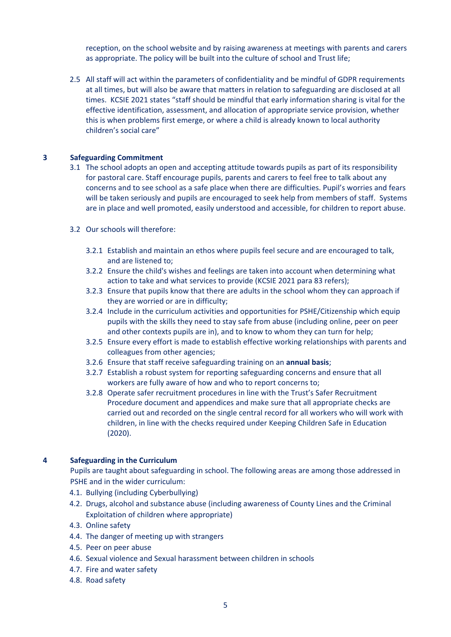reception, on the school website and by raising awareness at meetings with parents and carers as appropriate. The policy will be built into the culture of school and Trust life;

2.5 All staff will act within the parameters of confidentiality and be mindful of GDPR requirements at all times, but will also be aware that matters in relation to safeguarding are disclosed at all times. KCSIE 2021 states "staff should be mindful that early information sharing is vital for the effective identification, assessment, and allocation of appropriate service provision, whether this is when problems first emerge, or where a child is already known to local authority children's social care"

#### <span id="page-5-0"></span>**3 Safeguarding Commitment**

- 3.1 The school adopts an open and accepting attitude towards pupils as part of its responsibility for pastoral care. Staff encourage pupils, parents and carers to feel free to talk about any concerns and to see school as a safe place when there are difficulties. Pupil's worries and fears will be taken seriously and pupils are encouraged to seek help from members of staff. Systems are in place and well promoted, easily understood and accessible, for children to report abuse.
- 3.2 Our schools will therefore:
	- 3.2.1 Establish and maintain an ethos where pupils feel secure and are encouraged to talk, and are listened to;
	- 3.2.2 Ensure the child's wishes and feelings are taken into account when determining what action to take and what services to provide (KCSIE 2021 para 83 refers);
	- 3.2.3 Ensure that pupils know that there are adults in the school whom they can approach if they are worried or are in difficulty;
	- 3.2.4 Include in the curriculum activities and opportunities for PSHE/Citizenship which equip pupils with the skills they need to stay safe from abuse (including online, peer on peer and other contexts pupils are in), and to know to whom they can turn for help;
	- 3.2.5 Ensure every effort is made to establish effective working relationships with parents and colleagues from other agencies;
	- 3.2.6 Ensure that staff receive safeguarding training on an **annual basis**;
	- 3.2.7 Establish a robust system for reporting safeguarding concerns and ensure that all workers are fully aware of how and who to report concerns to;
	- 3.2.8 Operate safer recruitment procedures in line with the Trust's Safer Recruitment Procedure document and appendices and make sure that all appropriate checks are carried out and recorded on the single central record for all workers who will work with children, in line with the checks required under Keeping Children Safe in Education (2020).

#### <span id="page-5-1"></span>**4 Safeguarding in the Curriculum**

Pupils are taught about safeguarding in school. The following areas are among those addressed in PSHE and in the wider curriculum:

- 4.1. Bullying (including Cyberbullying)
- 4.2. Drugs, alcohol and substance abuse (including awareness of County Lines and the Criminal Exploitation of children where appropriate)
- 4.3. Online safety
- 4.4. The danger of meeting up with strangers
- 4.5. Peer on peer abuse
- 4.6. Sexual violence and Sexual harassment between children in schools
- 4.7. Fire and water safety
- 4.8. Road safety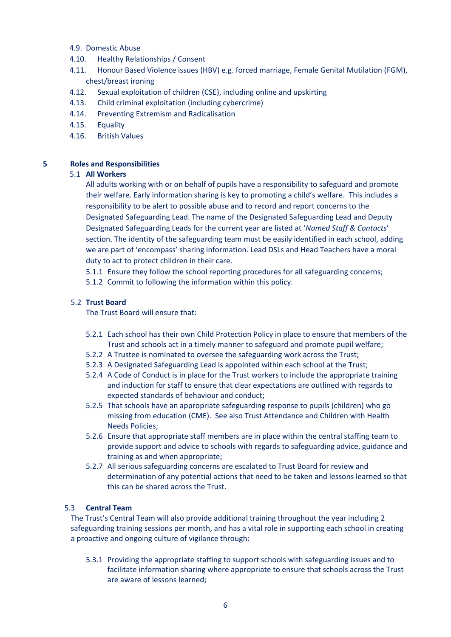## 4.9. Domestic Abuse

- 4.10. Healthy Relationships / Consent
- 4.11. Honour Based Violence issues (HBV) e.g. forced marriage, Female Genital Mutilation (FGM), chest/breast ironing
- 4.12. Sexual exploitation of children (CSE), including online and upskirting
- 4.13. Child criminal exploitation (including cybercrime)
- 4.14. Preventing Extremism and Radicalisation
- 4.15. Equality
- 4.16. British Values

## <span id="page-6-0"></span>**5 Roles and Responsibilities**

## 5.1 **All Workers**

All adults working with or on behalf of pupils have a responsibility to safeguard and promote their welfare. Early information sharing is key to promoting a child's welfare. This includes a responsibility to be alert to possible abuse and to record and report concerns to the Designated Safeguarding Lead. The name of the Designated Safeguarding Lead and Deputy Designated Safeguarding Leads for the current year are listed at '*Named Staff & Contacts*' section. The identity of the safeguarding team must be easily identified in each school, adding we are part of 'encompass' sharing information. Lead DSLs and Head Teachers have a moral duty to act to protect children in their care.

5.1.1 Ensure they follow the school reporting procedures for all safeguarding concerns;

5.1.2 Commit to following the information within this policy.

## 5.2 **Trust Board**

The Trust Board will ensure that:

- 5.2.1 Each school has their own Child Protection Policy in place to ensure that members of the Trust and schools act in a timely manner to safeguard and promote pupil welfare;
- 5.2.2 A Trustee is nominated to oversee the safeguarding work across the Trust;
- 5.2.3 A Designated Safeguarding Lead is appointed within each school at the Trust;
- 5.2.4 A Code of Conduct is in place for the Trust workers to include the appropriate training and induction for staff to ensure that clear expectations are outlined with regards to expected standards of behaviour and conduct;
- 5.2.5 That schools have an appropriate safeguarding response to pupils (children) who go missing from education (CME). See also Trust Attendance and Children with Health Needs Policies;
- 5.2.6 Ensure that appropriate staff members are in place within the central staffing team to provide support and advice to schools with regards to safeguarding advice, guidance and training as and when appropriate;
- 5.2.7 All serious safeguarding concerns are escalated to Trust Board for review and determination of any potential actions that need to be taken and lessons learned so that this can be shared across the Trust.

## 5.3 **Central Team**

The Trust's Central Team will also provide additional training throughout the year including 2 safeguarding training sessions per month, and has a vital role in supporting each school in creating a proactive and ongoing culture of vigilance through:

5.3.1 Providing the appropriate staffing to support schools with safeguarding issues and to facilitate information sharing where appropriate to ensure that schools across the Trust are aware of lessons learned;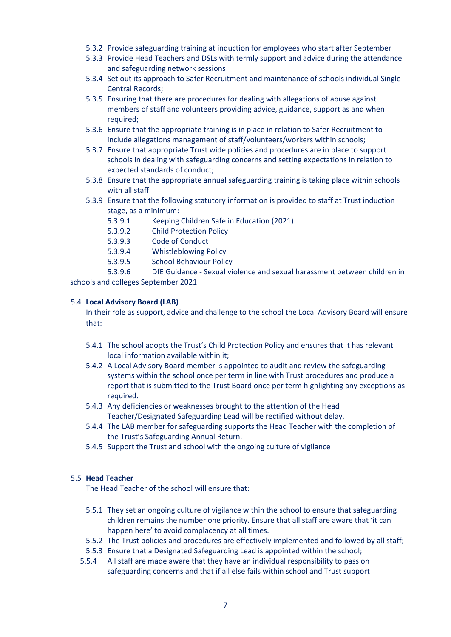- 5.3.2 Provide safeguarding training at induction for employees who start after September
- 5.3.3 Provide Head Teachers and DSLs with termly support and advice during the attendance and safeguarding network sessions
- 5.3.4 Set out its approach to Safer Recruitment and maintenance of schools individual Single Central Records;
- 5.3.5 Ensuring that there are procedures for dealing with allegations of abuse against members of staff and volunteers providing advice, guidance, support as and when required;
- 5.3.6 Ensure that the appropriate training is in place in relation to Safer Recruitment to include allegations management of staff/volunteers/workers within schools;
- 5.3.7 Ensure that appropriate Trust wide policies and procedures are in place to support schools in dealing with safeguarding concerns and setting expectations in relation to expected standards of conduct;
- 5.3.8 Ensure that the appropriate annual safeguarding training is taking place within schools with all staff.
- 5.3.9 Ensure that the following statutory information is provided to staff at Trust induction stage, as a minimum:
	- 5.3.9.1 Keeping Children Safe in Education (2021)
	- 5.3.9.2 Child Protection Policy
	- 5.3.9.3 Code of Conduct
	- 5.3.9.4 Whistleblowing Policy
	- 5.3.9.5 School Behaviour Policy

5.3.9.6 DfE Guidance - Sexual violence and sexual harassment between children in schools and colleges September 2021

#### 5.4 **Local Advisory Board (LAB)**

In their role as support, advice and challenge to the school the Local Advisory Board will ensure that:

- 5.4.1 The school adopts the Trust's Child Protection Policy and ensures that it has relevant local information available within it;
- 5.4.2 A Local Advisory Board member is appointed to audit and review the safeguarding systems within the school once per term in line with Trust procedures and produce a report that is submitted to the Trust Board once per term highlighting any exceptions as required.
- 5.4.3 Any deficiencies or weaknesses brought to the attention of the Head Teacher/Designated Safeguarding Lead will be rectified without delay.
- 5.4.4 The LAB member for safeguarding supports the Head Teacher with the completion of the Trust's Safeguarding Annual Return.
- 5.4.5 Support the Trust and school with the ongoing culture of vigilance

## 5.5 **Head Teacher**

The Head Teacher of the school will ensure that:

- 5.5.1 They set an ongoing culture of vigilance within the school to ensure that safeguarding children remains the number one priority. Ensure that all staff are aware that 'it can happen here' to avoid complacency at all times.
- 5.5.2 The Trust policies and procedures are effectively implemented and followed by all staff;
- 5.5.3 Ensure that a Designated Safeguarding Lead is appointed within the school;
- 5.5.4 All staff are made aware that they have an individual responsibility to pass on safeguarding concerns and that if all else fails within school and Trust support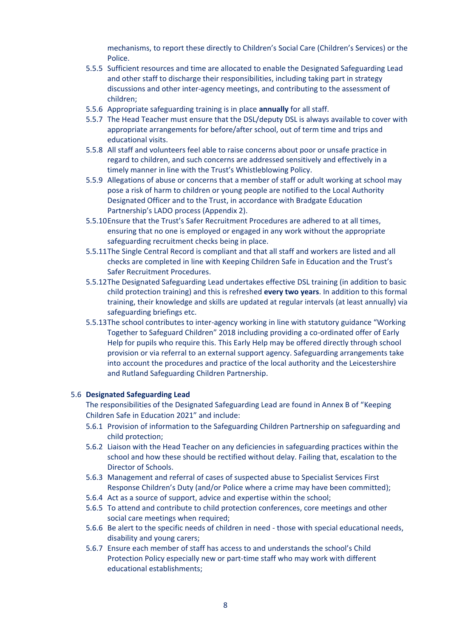mechanisms, to report these directly to Children's Social Care (Children's Services) or the Police.

- 5.5.5 Sufficient resources and time are allocated to enable the Designated Safeguarding Lead and other staff to discharge their responsibilities, including taking part in strategy discussions and other inter-agency meetings, and contributing to the assessment of children;
- 5.5.6 Appropriate safeguarding training is in place **annually** for all staff.
- 5.5.7 The Head Teacher must ensure that the DSL/deputy DSL is always available to cover with appropriate arrangements for before/after school, out of term time and trips and educational visits.
- 5.5.8 All staff and volunteers feel able to raise concerns about poor or unsafe practice in regard to children, and such concerns are addressed sensitively and effectively in a timely manner in line with the Trust's Whistleblowing Policy.
- 5.5.9 Allegations of abuse or concerns that a member of staff or adult working at school may pose a risk of harm to children or young people are notified to the Local Authority Designated Officer and to the Trust, in accordance with Bradgate Education Partnership's LADO process (Appendix 2).
- 5.5.10Ensure that the Trust's Safer Recruitment Procedures are adhered to at all times, ensuring that no one is employed or engaged in any work without the appropriate safeguarding recruitment checks being in place.
- 5.5.11The Single Central Record is compliant and that all staff and workers are listed and all checks are completed in line with Keeping Children Safe in Education and the Trust's Safer Recruitment Procedures.
- 5.5.12The Designated Safeguarding Lead undertakes effective DSL training (in addition to basic child protection training) and this is refreshed **every two years**. In addition to this formal training, their knowledge and skills are updated at regular intervals (at least annually) via safeguarding briefings etc.
- 5.5.13The school contributes to inter-agency working in line with statutory guidance "Working Together to Safeguard Children" 2018 including providing a co-ordinated offer of Early Help for pupils who require this. This Early Help may be offered directly through school provision or via referral to an external support agency. Safeguarding arrangements take into account the procedures and practice of the local authority and the Leicestershire and Rutland Safeguarding Children Partnership.

#### 5.6 **Designated Safeguarding Lead**

The responsibilities of the Designated Safeguarding Lead are found in Annex B of "Keeping Children Safe in Education 2021" and include:

- 5.6.1 Provision of information to the Safeguarding Children Partnership on safeguarding and child protection;
- 5.6.2 Liaison with the Head Teacher on any deficiencies in safeguarding practices within the school and how these should be rectified without delay. Failing that, escalation to the Director of Schools.
- 5.6.3 Management and referral of cases of suspected abuse to Specialist Services First Response Children's Duty (and/or Police where a crime may have been committed);
- 5.6.4 Act as a source of support, advice and expertise within the school;
- 5.6.5 To attend and contribute to child protection conferences, core meetings and other social care meetings when required;
- 5.6.6 Be alert to the specific needs of children in need those with special educational needs, disability and young carers;
- 5.6.7 Ensure each member of staff has access to and understands the school's Child Protection Policy especially new or part-time staff who may work with different educational establishments;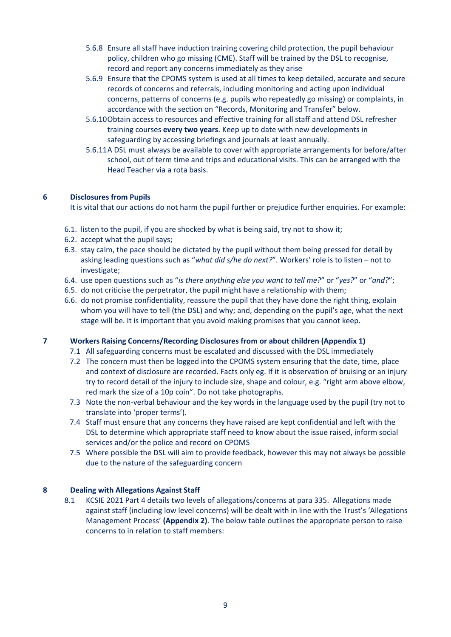- 5.6.8 Ensure all staff have induction training covering child protection, the pupil behaviour policy, children who go missing (CME). Staff will be trained by the DSL to recognise, record and report any concerns immediately as they arise
- 5.6.9 Ensure that the CPOMS system is used at all times to keep detailed, accurate and secure records of concerns and referrals, including monitoring and acting upon individual concerns, patterns of concerns (e.g. pupils who repeatedly go missing) or complaints, in accordance with the section on "Records, Monitoring and Transfer" below.
- 5.6.10Obtain access to resources and effective training for all staff and attend DSL refresher training courses **every two years**. Keep up to date with new developments in safeguarding by accessing briefings and journals at least annually.
- 5.6.11A DSL must always be available to cover with appropriate arrangements for before/after school, out of term time and trips and educational visits. This can be arranged with the Head Teacher via a rota basis.

## <span id="page-9-0"></span>**6 Disclosures from Pupils**

It is vital that our actions do not harm the pupil further or prejudice further enquiries. For example:

- 6.1. listen to the pupil, if you are shocked by what is being said, try not to show it;
- 6.2. accept what the pupil says;
- 6.3. stay calm, the pace should be dictated by the pupil without them being pressed for detail by asking leading questions such as "*what did s/he do next?*". Workers' role is to listen – not to investigate;
- 6.4. use open questions such as "*is there anything else you want to tell me?*" or "*yes?*" or "*and?*";
- 6.5. do not criticise the perpetrator, the pupil might have a relationship with them;
- 6.6. do not promise confidentiality, reassure the pupil that they have done the right thing, explain whom you will have to tell (the DSL) and why; and, depending on the pupil's age, what the next stage will be. It is important that you avoid making promises that you cannot keep.

#### <span id="page-9-1"></span>**7 Workers Raising Concerns/Recording Disclosures from or about children (Appendix 1)**

- 7.1 All safeguarding concerns must be escalated and discussed with the DSL immediately
- 7.2 The concern must then be logged into the CPOMS system ensuring that the date, time, place and context of disclosure are recorded. Facts only eg. If it is observation of bruising or an injury try to record detail of the injury to include size, shape and colour, e.g. "right arm above elbow, red mark the size of a 10p coin". Do not take photographs.
- 7.3 Note the non-verbal behaviour and the key words in the language used by the pupil (try not to translate into 'proper terms').
- 7.4 Staff must ensure that any concerns they have raised are kept confidential and left with the DSL to determine which appropriate staff need to know about the issue raised, inform social services and/or the police and record on CPOMS
- 7.5 Where possible the DSL will aim to provide feedback, however this may not always be possible due to the nature of the safeguarding concern

## <span id="page-9-2"></span>**8 Dealing with Allegations Against Staff**

8.1 KCSIE 2021 Part 4 details two levels of allegations/concerns at para 335. Allegations made against staff (including low level concerns) will be dealt with in line with the Trust's 'Allegations Management Process' **(Appendix 2)**. The below table outlines the appropriate person to raise concerns to in relation to staff members: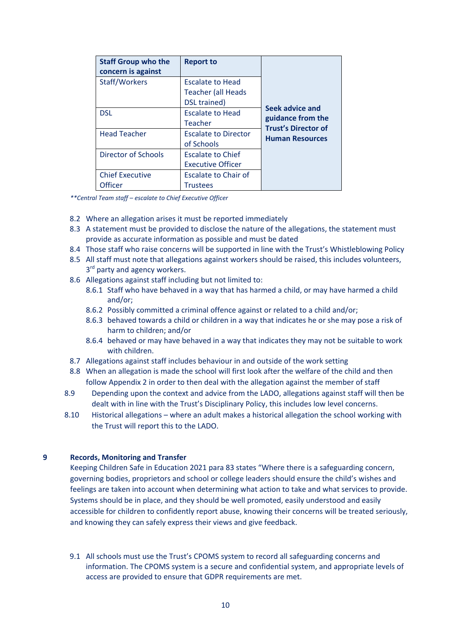| <b>Staff Group who the</b><br>concern is against | <b>Report to</b>                                                     |                                                      |
|--------------------------------------------------|----------------------------------------------------------------------|------------------------------------------------------|
| Staff/Workers                                    | <b>Escalate to Head</b><br><b>Teacher (all Heads</b><br>DSL trained) |                                                      |
| <b>DSL</b>                                       | <b>Escalate to Head</b><br>Teacher                                   | Seek advice and<br>guidance from the                 |
| <b>Head Teacher</b>                              | <b>Escalate to Director</b><br>of Schools                            | <b>Trust's Director of</b><br><b>Human Resources</b> |
| Director of Schools                              | <b>Escalate to Chief</b><br><b>Executive Officer</b>                 |                                                      |
| <b>Chief Executive</b><br><b>Officer</b>         | Escalate to Chair of<br>Trustees                                     |                                                      |

*\*\*Central Team staff – escalate to Chief Executive Officer*

- 8.2 Where an allegation arises it must be reported immediately
- 8.3 A statement must be provided to disclose the nature of the allegations, the statement must provide as accurate information as possible and must be dated
- 8.4 Those staff who raise concerns will be supported in line with the Trust's Whistleblowing Policy
- 8.5 All staff must note that allegations against workers should be raised, this includes volunteers, 3<sup>rd</sup> party and agency workers.
- 8.6 Allegations against staff including but not limited to:
	- 8.6.1 Staff who have behaved in a way that has harmed a child, or may have harmed a child and/or;
	- 8.6.2 Possibly committed a criminal offence against or related to a child and/or;
	- 8.6.3 behaved towards a child or children in a way that indicates he or she may pose a risk of harm to children; and/or
	- 8.6.4 behaved or may have behaved in a way that indicates they may not be suitable to work with children.
- 8.7 Allegations against staff includes behaviour in and outside of the work setting
- 8.8 When an allegation is made the school will first look after the welfare of the child and then follow Appendix 2 in order to then deal with the allegation against the member of staff
- 8.9 Depending upon the context and advice from the LADO, allegations against staff will then be dealt with in line with the Trust's Disciplinary Policy, this includes low level concerns.
- 8.10 Historical allegations where an adult makes a historical allegation the school working with the Trust will report this to the LADO.

#### <span id="page-10-0"></span>**9 Records, Monitoring and Transfer**

Keeping Children Safe in Education 2021 para 83 states "Where there is a safeguarding concern, governing bodies, proprietors and school or college leaders should ensure the child's wishes and feelings are taken into account when determining what action to take and what services to provide. Systems should be in place, and they should be well promoted, easily understood and easily accessible for children to confidently report abuse, knowing their concerns will be treated seriously, and knowing they can safely express their views and give feedback.

9.1 All schools must use the Trust's CPOMS system to record all safeguarding concerns and information. The CPOMS system is a secure and confidential system, and appropriate levels of access are provided to ensure that GDPR requirements are met.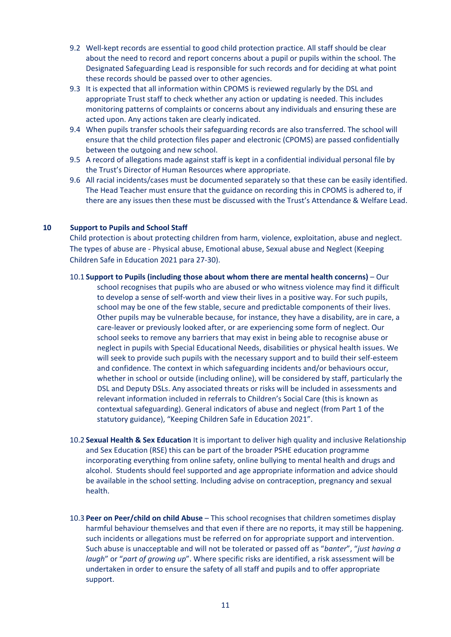- 9.2 Well-kept records are essential to good child protection practice. All staff should be clear about the need to record and report concerns about a pupil or pupils within the school. The Designated Safeguarding Lead is responsible for such records and for deciding at what point these records should be passed over to other agencies.
- 9.3 It is expected that all information within CPOMS is reviewed regularly by the DSL and appropriate Trust staff to check whether any action or updating is needed. This includes monitoring patterns of complaints or concerns about any individuals and ensuring these are acted upon. Any actions taken are clearly indicated.
- 9.4 When pupils transfer schools their safeguarding records are also transferred. The school will ensure that the child protection files paper and electronic (CPOMS) are passed confidentially between the outgoing and new school.
- 9.5 A record of allegations made against staff is kept in a confidential individual personal file by the Trust's Director of Human Resources where appropriate.
- 9.6 All racial incidents/cases must be documented separately so that these can be easily identified. The Head Teacher must ensure that the guidance on recording this in CPOMS is adhered to, if there are any issues then these must be discussed with the Trust's Attendance & Welfare Lead.

#### <span id="page-11-0"></span>**10 Support to Pupils and School Staff**

Child protection is about protecting children from harm, violence, exploitation, abuse and neglect. The types of abuse are - Physical abuse, Emotional abuse, Sexual abuse and Neglect (Keeping Children Safe in Education 2021 para 27-30).

- <span id="page-11-1"></span>10.1 **Support to Pupils (including those about whom there are mental health concerns)** – Our school recognises that pupils who are abused or who witness violence may find it difficult to develop a sense of self-worth and view their lives in a positive way. For such pupils, school may be one of the few stable, secure and predictable components of their lives. Other pupils may be vulnerable because, for instance, they have a disability, are in care, a care-leaver or previously looked after, or are experiencing some form of neglect. Our school seeks to remove any barriers that may exist in being able to recognise abuse or neglect in pupils with Special Educational Needs, disabilities or physical health issues. We will seek to provide such pupils with the necessary support and to build their self-esteem and confidence. The context in which safeguarding incidents and/or behaviours occur, whether in school or outside (including online), will be considered by staff, particularly the DSL and Deputy DSLs. Any associated threats or risks will be included in assessments and relevant information included in referrals to Children's Social Care (this is known as contextual safeguarding). General indicators of abuse and neglect (from Part 1 of the statutory guidance), "Keeping Children Safe in Education 2021".
- <span id="page-11-2"></span>10.2 **Sexual Health & Sex Education** It is important to deliver high quality and inclusive Relationship and Sex Education (RSE) this can be part of the broader PSHE education programme incorporating everything from online safety, online bullying to mental health and drugs and alcohol. Students should feel supported and age appropriate information and advice should be available in the school setting. Including advise on contraception, pregnancy and sexual health.
- <span id="page-11-3"></span>10.3 **Peer on Peer/child on child Abuse** – This school recognises that children sometimes display harmful behaviour themselves and that even if there are no reports, it may still be happening. such incidents or allegations must be referred on for appropriate support and intervention. Such abuse is unacceptable and will not be tolerated or passed off as "*banter*", "*just having a laugh*" or "*part of growing up*". Where specific risks are identified, a risk assessment will be undertaken in order to ensure the safety of all staff and pupils and to offer appropriate support.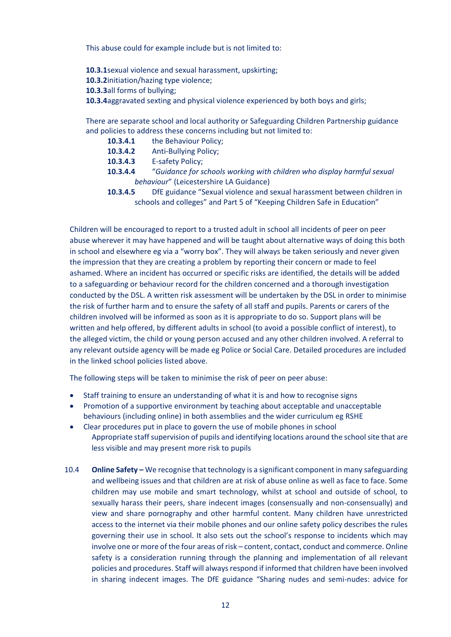This abuse could for example include but is not limited to:

- **10.3.1**sexual violence and sexual harassment, upskirting;
- **10.3.2**initiation/hazing type violence;
- **10.3.3**all forms of bullying;
- **10.3.4**aggravated sexting and physical violence experienced by both boys and girls;

There are separate school and local authority or Safeguarding Children Partnership guidance and policies to address these concerns including but not limited to:

- **10.3.4.1** the Behaviour Policy;
- **10.3.4.2** Anti-Bullying Policy;
- **10.3.4.3** E-safety Policy;
- **10.3.4.4** "*Guidance for schools working with children who display harmful sexual behaviour*" (Leicestershire LA Guidance)
- **10.3.4.5** DfE guidance "Sexual violence and sexual harassment between children in schools and colleges" and Part 5 of "Keeping Children Safe in Education"

Children will be encouraged to report to a trusted adult in school all incidents of peer on peer abuse wherever it may have happened and will be taught about alternative ways of doing this both in school and elsewhere eg via a "worry box". They will always be taken seriously and never given the impression that they are creating a problem by reporting their concern or made to feel ashamed. Where an incident has occurred or specific risks are identified, the details will be added to a safeguarding or behaviour record for the children concerned and a thorough investigation conducted by the DSL. A written risk assessment will be undertaken by the DSL in order to minimise the risk of further harm and to ensure the safety of all staff and pupils. Parents or carers of the children involved will be informed as soon as it is appropriate to do so. Support plans will be written and help offered, by different adults in school (to avoid a possible conflict of interest), to the alleged victim, the child or young person accused and any other children involved. A referral to any relevant outside agency will be made eg Police or Social Care. Detailed procedures are included in the linked school policies listed above.

The following steps will be taken to minimise the risk of peer on peer abuse:

- Staff training to ensure an understanding of what it is and how to recognise signs
- Promotion of a supportive environment by teaching about acceptable and unacceptable behaviours (including online) in both assemblies and the wider curriculum eg RSHE
- Clear procedures put in place to govern the use of mobile phones in school Appropriate staff supervision of pupils and identifying locations around the school site that are less visible and may present more risk to pupils
- <span id="page-12-0"></span>10.4 **Online Safety –** We recognise that technology is a significant component in many safeguarding and wellbeing issues and that children are at risk of abuse online as well as face to face. Some children may use mobile and smart technology, whilst at school and outside of school, to sexually harass their peers, share indecent images (consensually and non-consensually) and view and share pornography and other harmful content. Many children have unrestricted access to the internet via their mobile phones and our online safety policy describes the rules governing their use in school. It also sets out the school's response to incidents which may involve one or more of the four areas of risk – content, contact, conduct and commerce. Online safety is a consideration running through the planning and implementation of all relevant policies and procedures. Staff will always respond if informed that children have been involved in sharing indecent images. The DfE guidance "Sharing nudes and semi-nudes: advice for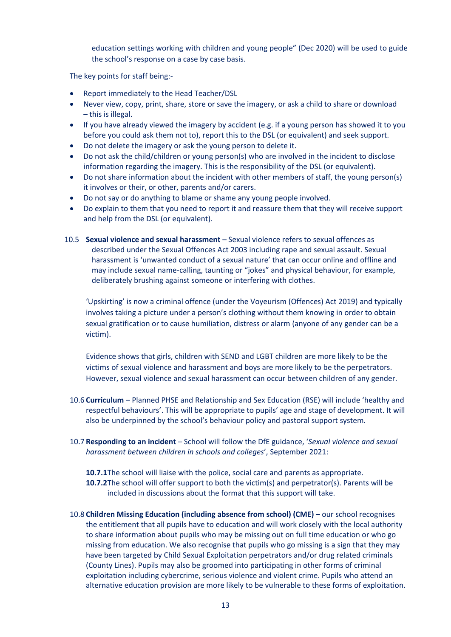education settings working with children and young people" (Dec 2020) will be used to guide the school's response on a case by case basis.

The key points for staff being:-

- Report immediately to the Head Teacher/DSL
- Never view, copy, print, share, store or save the imagery, or ask a child to share or download – this is illegal.
- If you have already viewed the imagery by accident (e.g. if a young person has showed it to you before you could ask them not to), report this to the DSL (or equivalent) and seek support.
- Do not delete the imagery or ask the young person to delete it.
- Do not ask the child/children or young person(s) who are involved in the incident to disclose information regarding the imagery. This is the responsibility of the DSL (or equivalent).
- Do not share information about the incident with other members of staff, the young person(s) it involves or their, or other, parents and/or carers.
- Do not say or do anything to blame or shame any young people involved.
- Do explain to them that you need to report it and reassure them that they will receive support and help from the DSL (or equivalent).
- <span id="page-13-0"></span>10.5 **Sexual violence and sexual harassment** – Sexual violence refers to sexual offences as described under the Sexual Offences Act 2003 including rape and sexual assault. Sexual harassment is 'unwanted conduct of a sexual nature' that can occur online and offline and may include sexual name-calling, taunting or "jokes" and physical behaviour, for example, deliberately brushing against someone or interfering with clothes.

'Upskirting' is now a criminal offence (under the Voyeurism (Offences) Act 2019) and typically involves taking a picture under a person's clothing without them knowing in order to obtain sexual gratification or to cause humiliation, distress or alarm (anyone of any gender can be a victim).

Evidence shows that girls, children with SEND and LGBT children are more likely to be the victims of sexual violence and harassment and boys are more likely to be the perpetrators. However, sexual violence and sexual harassment can occur between children of any gender.

- <span id="page-13-1"></span>10.6 **Curriculum** – Planned PHSE and Relationship and Sex Education (RSE) will include 'healthy and respectful behaviours'. This will be appropriate to pupils' age and stage of development. It will also be underpinned by the school's behaviour policy and pastoral support system.
- <span id="page-13-2"></span>10.7 **Responding to an incident** *–* School will follow the DfE guidance, '*Sexual violence and sexual harassment between children in schools and colleges*', September 2021:

**10.7.1**The school will liaise with the police, social care and parents as appropriate. **10.7.2**The school will offer support to both the victim(s) and perpetrator(s). Parents will be included in discussions about the format that this support will take.

<span id="page-13-3"></span>10.8 **Children Missing Education (including absence from school) (CME)** – our school recognises the entitlement that all pupils have to education and will work closely with the local authority to share information about pupils who may be missing out on full time education or who go missing from education. We also recognise that pupils who go missing is a sign that they may have been targeted by Child Sexual Exploitation perpetrators and/or drug related criminals (County Lines). Pupils may also be groomed into participating in other forms of criminal exploitation including cybercrime, serious violence and violent crime. Pupils who attend an alternative education provision are more likely to be vulnerable to these forms of exploitation.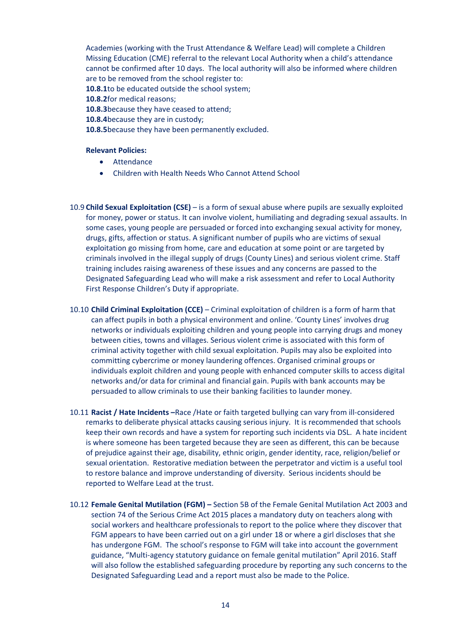Academies (working with the Trust Attendance & Welfare Lead) will complete a Children Missing Education (CME) referral to the relevant Local Authority when a child's attendance cannot be confirmed after 10 days. The local authority will also be informed where children are to be removed from the school register to:

**10.8.1**to be educated outside the school system;

**10.8.2**for medical reasons;

- **10.8.3**because they have ceased to attend;
- **10.8.4**because they are in custody;

**10.8.5**because they have been permanently excluded.

#### **Relevant Policies:**

- **Attendance**
- Children with Health Needs Who Cannot Attend School
- <span id="page-14-0"></span>10.9 **Child Sexual Exploitation (CSE)** – is a form of sexual abuse where pupils are sexually exploited for money, power or status. It can involve violent, humiliating and degrading sexual assaults. In some cases, young people are persuaded or forced into exchanging sexual activity for money, drugs, gifts, affection or status. A significant number of pupils who are victims of sexual exploitation go missing from home, care and education at some point or are targeted by criminals involved in the illegal supply of drugs (County Lines) and serious violent crime. Staff training includes raising awareness of these issues and any concerns are passed to the Designated Safeguarding Lead who will make a risk assessment and refer to Local Authority First Response Children's Duty if appropriate.
- <span id="page-14-1"></span>10.10 **Child Criminal Exploitation (CCE)** – Criminal exploitation of children is a form of harm that can affect pupils in both a physical environment and online. 'County Lines' involves drug networks or individuals exploiting children and young people into carrying drugs and money between cities, towns and villages. Serious violent crime is associated with this form of criminal activity together with child sexual exploitation. Pupils may also be exploited into committing cybercrime or money laundering offences. Organised criminal groups or individuals exploit children and young people with enhanced computer skills to access digital networks and/or data for criminal and financial gain. Pupils with bank accounts may be persuaded to allow criminals to use their banking facilities to launder money.
- <span id="page-14-2"></span>10.11 **Racist / Hate Incidents –**Race /Hate or faith targeted bullying can vary from ill-considered remarks to deliberate physical attacks causing serious injury. It is recommended that schools keep their own records and have a system for reporting such incidents via DSL. A hate incident is where someone has been targeted because they are seen as different, this can be because of prejudice against their age, disability, ethnic origin, gender identity, race, religion/belief or sexual orientation. Restorative mediation between the perpetrator and victim is a useful tool to restore balance and improve understanding of diversity. Serious incidents should be reported to Welfare Lead at the trust.
- <span id="page-14-3"></span>10.12 **Female Genital Mutilation (FGM) –** Section 5B of the Female Genital Mutilation Act 2003 and section 74 of the Serious Crime Act 2015 places a mandatory duty on teachers along with social workers and healthcare professionals to report to the police where they discover that FGM appears to have been carried out on a girl under 18 or where a girl discloses that she has undergone FGM. The school's response to FGM will take into account the government guidance, "Multi-agency statutory guidance on female genital mutilation" April 2016. Staff will also follow the established safeguarding procedure by reporting any such concerns to the Designated Safeguarding Lead and a report must also be made to the Police.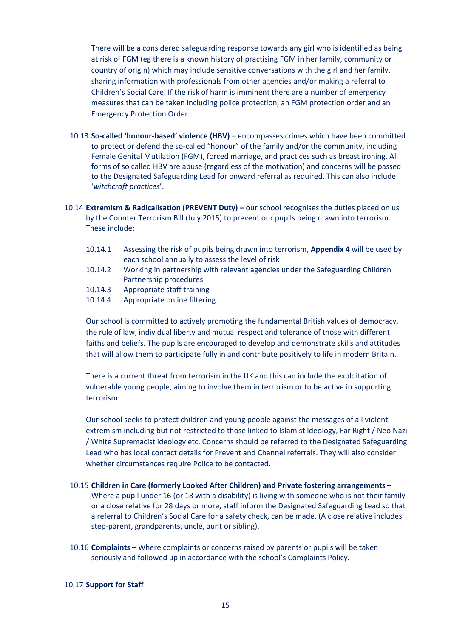There will be a considered safeguarding response towards any girl who is identified as being at risk of FGM (eg there is a known history of practising FGM in her family, community or country of origin) which may include sensitive conversations with the girl and her family, sharing information with professionals from other agencies and/or making a referral to Children's Social Care. If the risk of harm is imminent there are a number of emergency measures that can be taken including police protection, an FGM protection order and an Emergency Protection Order.

- <span id="page-15-0"></span>10.13 **So-called 'honour-based' violence (HBV)** – encompasses crimes which have been committed to protect or defend the so-called "honour" of the family and/or the community, including Female Genital Mutilation (FGM), forced marriage, and practices such as breast ironing. All forms of so called HBV are abuse (regardless of the motivation) and concerns will be passed to the Designated Safeguarding Lead for onward referral as required. This can also include '*witchcraft practices*'.
- <span id="page-15-1"></span>10.14 **Extremism & Radicalisation (PREVENT Duty) –** our school recognises the duties placed on us by the Counter Terrorism Bill (July 2015) to prevent our pupils being drawn into terrorism. These include:
	- 10.14.1 Assessing the risk of pupils being drawn into terrorism, **Appendix 4** will be used by each school annually to assess the level of risk
	- 10.14.2 Working in partnership with relevant agencies under the Safeguarding Children Partnership procedures
	- 10.14.3 Appropriate staff training
	- 10.14.4 Appropriate online filtering

Our school is committed to actively promoting the fundamental British values of democracy, the rule of law, individual liberty and mutual respect and tolerance of those with different faiths and beliefs. The pupils are encouraged to develop and demonstrate skills and attitudes that will allow them to participate fully in and contribute positively to life in modern Britain.

There is a current threat from terrorism in the UK and this can include the exploitation of vulnerable young people, aiming to involve them in terrorism or to be active in supporting terrorism.

Our school seeks to protect children and young people against the messages of all violent extremism including but not restricted to those linked to Islamist Ideology, Far Right / Neo Nazi / White Supremacist ideology etc. Concerns should be referred to the Designated Safeguarding Lead who has local contact details for Prevent and Channel referrals. They will also consider whether circumstances require Police to be contacted.

- <span id="page-15-2"></span>10.15 **Children in Care (formerly Looked After Children) and Private fostering arrangements** – Where a pupil under 16 (or 18 with a disability) is living with someone who is not their family or a close relative for 28 days or more, staff inform the Designated Safeguarding Lead so that a referral to Children's Social Care for a safety check, can be made. (A close relative includes step-parent, grandparents, uncle, aunt or sibling).
- <span id="page-15-3"></span>10.16 **Complaints** – Where complaints or concerns raised by parents or pupils will be taken seriously and followed up in accordance with the school's Complaints Policy.

#### <span id="page-15-4"></span>10.17 **Support for Staff**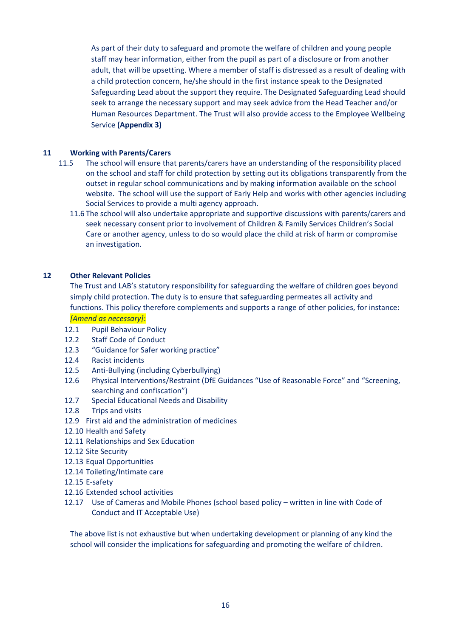As part of their duty to safeguard and promote the welfare of children and young people staff may hear information, either from the pupil as part of a disclosure or from another adult, that will be upsetting. Where a member of staff is distressed as a result of dealing with a child protection concern, he/she should in the first instance speak to the Designated Safeguarding Lead about the support they require. The Designated Safeguarding Lead should seek to arrange the necessary support and may seek advice from the Head Teacher and/or Human Resources Department. The Trust will also provide access to the Employee Wellbeing Service **(Appendix 3)**

## <span id="page-16-0"></span>**11 Working with Parents/Carers**

- 11.5 The school will ensure that parents/carers have an understanding of the responsibility placed on the school and staff for child protection by setting out its obligations transparently from the outset in regular school communications and by making information available on the school website. The school will use the support of Early Help and works with other agencies including Social Services to provide a multi agency approach.
	- 11.6 The school will also undertake appropriate and supportive discussions with parents/carers and seek necessary consent prior to involvement of Children & Family Services Children's Social Care or another agency, unless to do so would place the child at risk of harm or compromise an investigation.

#### <span id="page-16-1"></span>**12 Other Relevant Policies**

The Trust and LAB's statutory responsibility for safeguarding the welfare of children goes beyond simply child protection. The duty is to ensure that safeguarding permeates all activity and functions. This policy therefore complements and supports a range of other policies, for instance:

## *[Amend as necessary]*:

- 12.1 Pupil Behaviour Policy
- 12.2 Staff Code of Conduct
- 12.3 "Guidance for Safer working practice"
- 12.4 Racist incidents
- 12.5 Anti-Bullying (including Cyberbullying)
- 12.6 Physical Interventions/Restraint (DfE Guidances "Use of Reasonable Force" and "Screening, searching and confiscation")
- 12.7 Special Educational Needs and Disability
- 12.8 Trips and visits
- 12.9 First aid and the administration of medicines
- 12.10 Health and Safety
- 12.11 Relationships and Sex Education
- 12.12 Site Security
- 12.13 Equal Opportunities
- 12.14 Toileting/Intimate care
- 12.15 E-safety
- 12.16 Extended school activities
- 12.17 Use of Cameras and Mobile Phones (school based policy written in line with Code of Conduct and IT Acceptable Use)

The above list is not exhaustive but when undertaking development or planning of any kind the school will consider the implications for safeguarding and promoting the welfare of children.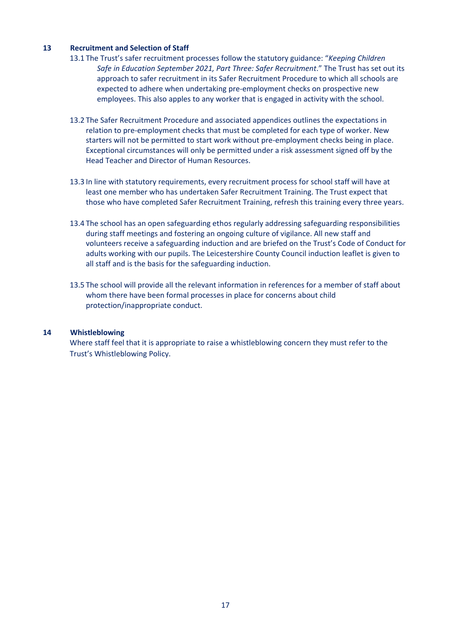#### <span id="page-17-0"></span>**13 Recruitment and Selection of Staff**

- 13.1 The Trust's safer recruitment processes follow the statutory guidance: "*Keeping Children Safe in Education September 2021, Part Three: Safer Recruitment*." The Trust has set out its approach to safer recruitment in its Safer Recruitment Procedure to which all schools are expected to adhere when undertaking pre-employment checks on prospective new employees. This also apples to any worker that is engaged in activity with the school.
- 13.2 The Safer Recruitment Procedure and associated appendices outlines the expectations in relation to pre-employment checks that must be completed for each type of worker. New starters will not be permitted to start work without pre-employment checks being in place. Exceptional circumstances will only be permitted under a risk assessment signed off by the Head Teacher and Director of Human Resources.
- 13.3 In line with statutory requirements, every recruitment process for school staff will have at least one member who has undertaken Safer Recruitment Training. The Trust expect that those who have completed Safer Recruitment Training, refresh this training every three years.
- 13.4 The school has an open safeguarding ethos regularly addressing safeguarding responsibilities during staff meetings and fostering an ongoing culture of vigilance. All new staff and volunteers receive a safeguarding induction and are briefed on the Trust's Code of Conduct for adults working with our pupils. The Leicestershire County Council induction leaflet is given to all staff and is the basis for the safeguarding induction.
- 13.5 The school will provide all the relevant information in references for a member of staff about whom there have been formal processes in place for concerns about child protection/inappropriate conduct.

#### <span id="page-17-1"></span>**14 Whistleblowing**

Where staff feel that it is appropriate to raise a whistleblowing concern they must refer to the Trust's Whistleblowing Policy.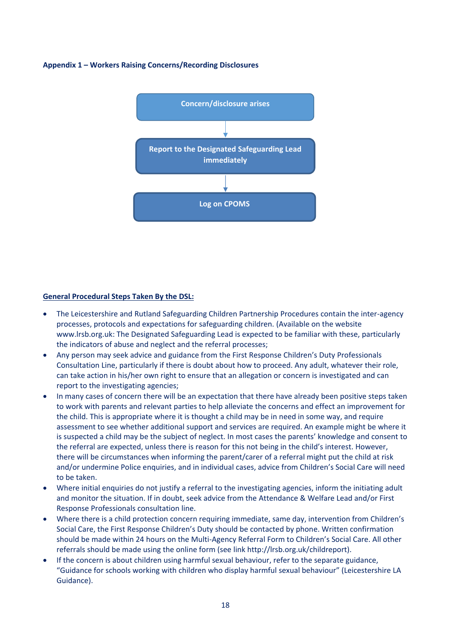#### <span id="page-18-0"></span>**Appendix 1 – Workers Raising Concerns/Recording Disclosures**



#### **General Procedural Steps Taken By the DSL:**

- The Leicestershire and Rutland Safeguarding Children Partnership Procedures contain the inter-agency processes, protocols and expectations for safeguarding children. (Available on the website www.lrsb.org.uk: The Designated Safeguarding Lead is expected to be familiar with these, particularly the indicators of abuse and neglect and the referral processes;
- Any person may seek advice and guidance from the First Response Children's Duty Professionals Consultation Line, particularly if there is doubt about how to proceed. Any adult, whatever their role, can take action in his/her own right to ensure that an allegation or concern is investigated and can report to the investigating agencies;
- In many cases of concern there will be an expectation that there have already been positive steps taken to work with parents and relevant parties to help alleviate the concerns and effect an improvement for the child. This is appropriate where it is thought a child may be in need in some way, and require assessment to see whether additional support and services are required. An example might be where it is suspected a child may be the subject of neglect. In most cases the parents' knowledge and consent to the referral are expected, unless there is reason for this not being in the child's interest. However, there will be circumstances when informing the parent/carer of a referral might put the child at risk and/or undermine Police enquiries, and in individual cases, advice from Children's Social Care will need to be taken.
- Where initial enquiries do not justify a referral to the investigating agencies, inform the initiating adult and monitor the situation. If in doubt, seek advice from the Attendance & Welfare Lead and/or First Response Professionals consultation line.
- Where there is a child protection concern requiring immediate, same day, intervention from Children's Social Care, the First Response Children's Duty should be contacted by phone. Written confirmation should be made within 24 hours on the Multi-Agency Referral Form to Children's Social Care. All other referrals should be made using the online form (see link http://lrsb.org.uk/childreport).
- If the concern is about children using harmful sexual behaviour, refer to the separate guidance, "Guidance for schools working with children who display harmful sexual behaviour" (Leicestershire LA Guidance).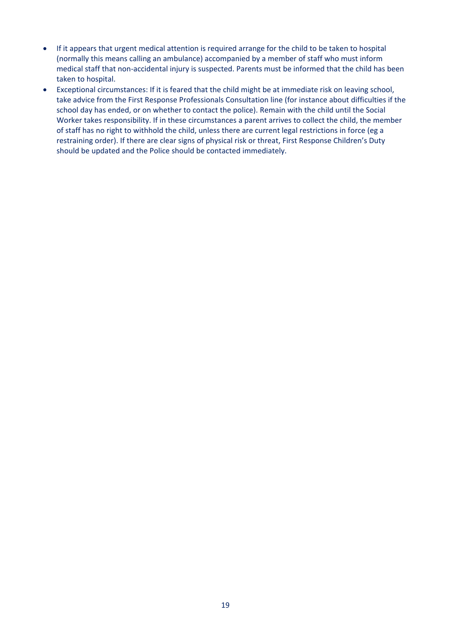- If it appears that urgent medical attention is required arrange for the child to be taken to hospital (normally this means calling an ambulance) accompanied by a member of staff who must inform medical staff that non-accidental injury is suspected. Parents must be informed that the child has been taken to hospital.
- Exceptional circumstances: If it is feared that the child might be at immediate risk on leaving school, take advice from the First Response Professionals Consultation line (for instance about difficulties if the school day has ended, or on whether to contact the police). Remain with the child until the Social Worker takes responsibility. If in these circumstances a parent arrives to collect the child, the member of staff has no right to withhold the child, unless there are current legal restrictions in force (eg a restraining order). If there are clear signs of physical risk or threat, First Response Children's Duty should be updated and the Police should be contacted immediately.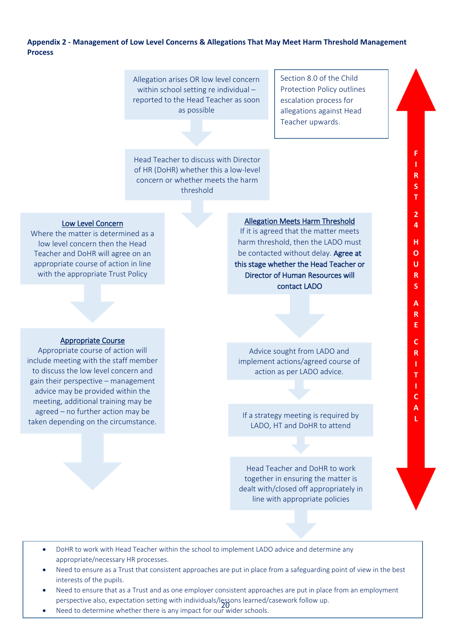## <span id="page-20-0"></span>**Appendix 2 - Management of Low Level Concerns & Allegations That May Meet Harm Threshold Management Process**

Allegation arises OR low level concern within school setting re individual – reported to the Head Teacher as soon as possible

Section 8.0 of the Child Protection Policy outlines escalation process for allegations against Head Teacher upwards.

> **F I R S T**

> **2 4**

**H O U R S** 

**A R E** 

**C R I T I C A L**

Head Teacher to discuss with Director of HR (DoHR) whether this a low-level concern or whether meets the harm threshold

#### Low Level Concern

Where the matter is determined as a low level concern then the Head Teacher and DoHR will agree on an appropriate course of action in line with the appropriate Trust Policy

Allegation Meets Harm Threshold

If it is agreed that the matter meets harm threshold, then the LADO must be contacted without delay. Agree at this stage whether the Head Teacher or Director of Human Resources will contact LADO

#### Appropriate Course

Appropriate course of action will include meeting with the staff member to discuss the low level concern and gain their perspective – management advice may be provided within the meeting, additional training may be agreed – no further action may be taken depending on the circumstance.

## Advice sought from LADO and implement actions/agreed course of action as per LADO advice.

If a strategy meeting is required by LADO, HT and DoHR to attend

Head Teacher and DoHR to work together in ensuring the matter is dealt with/closed off appropriately in line with appropriate policies

- DoHR to work with Head Teacher within the school to implement LADO advice and determine any appropriate/necessary HR processes.
- Need to ensure as a Trust that consistent approaches are put in place from a safeguarding point of view in the best interests of the pupils.
- Need to ensure that as a Trust and as one employer consistent approaches are put in place from an employment perspective also, expectation setting with individuals/lessons learned/casework follow up.
- expective disc, expectation setting with individually 20 to redirect, and the Need to determine whether there is any impact for our wider schools.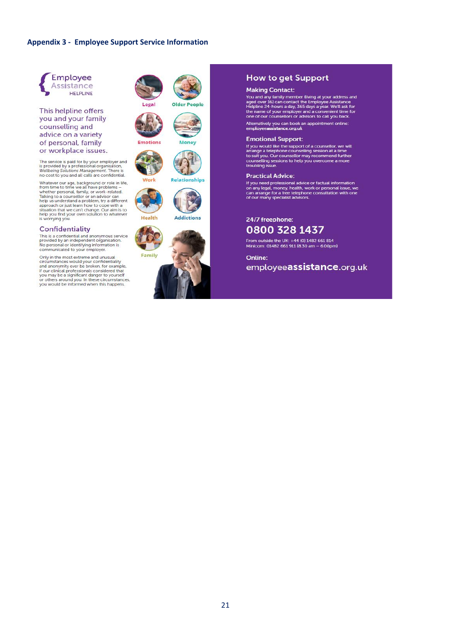#### <span id="page-21-0"></span>**Appendix 3 - Employee Support Service Information**



This helpline offers you and your family counselling and advice on a variety of personal, family or workplace issues.

The service is paid for by your employer and<br>is provided by a professional organisation,<br>Wellbeing Solutions Management. There is no cost to you and all calls are confidential.

The cost of you and an causa connection.<br>
Whatever our age, background or role in life,<br>
Takling to a counsellor or an advisor can<br>
Takling to a counsel of the pus understand a problem try a different<br>
approach or just lea

#### Confidentiality

COTTITUCETTURE<br>This is a confidential and anonymous service<br>provided by an independent organisation.<br>No personal or identifying information is<br>communicated to your employer.

Only in the most extreme and unusual Only in the most extreme and unusual<br>circumstances would your confidentiality<br>and anonymity ever be broken, for example,<br>if our clinical professionals considered that<br>you may be a significant danger to yourself<br>or others a









Relationships

Work



**Addictions** 



#### **How to get Support**

#### **Making Contact:**

Principal Sydnamics Counterpole (living at your address and<br>aged over 16) can contact the Employee Assistance<br>the pline 24-hours a day. 365 days a year. We'll ask for<br>the name of your employer and a convenient time for<br>one

Alternatively you can book an appointment online:<br>employeeassistance.org.uk

#### **Emotional Support:**

Exercise to work the support of a counsellor, we will<br>arrange a telephone counselling session at a time to suit you. Our counsellor may recommend further<br>counselling sessions to help you overcome a more<br>troubling issue.

#### **Practical Advice:**

If you need professional advice or factual information<br>on any legal, money, health, work or personal issue, we<br>can arrange for a free telephone consultation with one<br>of our many specialist advisors.

24/7 freephone:

## 0800 328 1437

From outside the UK: +44 (0) 1482 661 814 Minicom: 01482 661 911 (8.30 am - 6.00pm)

Online: employeeassistance.org.uk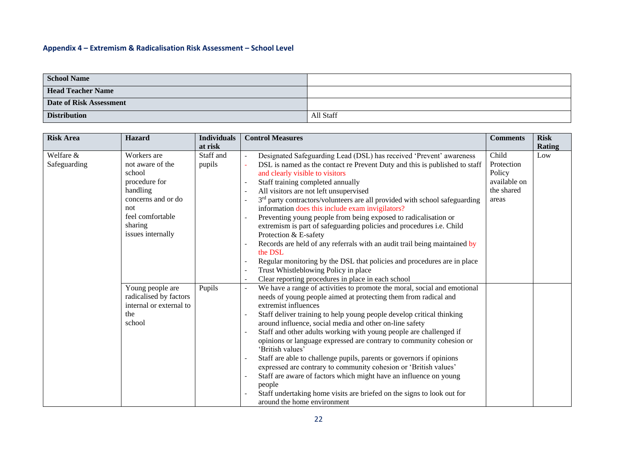## **Appendix 4 – Extremism & Radicalisation Risk Assessment – School Level**

| <b>School Name</b>       |           |
|--------------------------|-----------|
| <b>Head Teacher Name</b> |           |
| Date of Risk Assessment  |           |
| <b>Distribution</b>      | All Staff |

<span id="page-22-0"></span>

| <b>Risk Area</b>          | <b>Hazard</b>                                                                                                                                           | <b>Individuals</b>  | <b>Control Measures</b>                                                                                                                                                                                                                                                                                                                                                                                                                                                                                                                                                                                                                                                                                                                                                                                                                                                                                                                                                | <b>Comments</b>                                                      | <b>Risk</b> |
|---------------------------|---------------------------------------------------------------------------------------------------------------------------------------------------------|---------------------|------------------------------------------------------------------------------------------------------------------------------------------------------------------------------------------------------------------------------------------------------------------------------------------------------------------------------------------------------------------------------------------------------------------------------------------------------------------------------------------------------------------------------------------------------------------------------------------------------------------------------------------------------------------------------------------------------------------------------------------------------------------------------------------------------------------------------------------------------------------------------------------------------------------------------------------------------------------------|----------------------------------------------------------------------|-------------|
|                           |                                                                                                                                                         | at risk             |                                                                                                                                                                                                                                                                                                                                                                                                                                                                                                                                                                                                                                                                                                                                                                                                                                                                                                                                                                        |                                                                      | Rating      |
| Welfare &<br>Safeguarding | Workers are<br>not aware of the<br>school<br>procedure for<br>handling<br>concerns and or do<br>not<br>feel comfortable<br>sharing<br>issues internally | Staff and<br>pupils | Designated Safeguarding Lead (DSL) has received 'Prevent' awareness<br>$\overline{\phantom{a}}$<br>DSL is named as the contact re Prevent Duty and this is published to staff<br>and clearly visible to visitors<br>Staff training completed annually<br>All visitors are not left unsupervised<br>3 <sup>rd</sup> party contractors/volunteers are all provided with school safeguarding<br>$\overline{\phantom{a}}$<br>information does this include exam invigilators?<br>Preventing young people from being exposed to radicalisation or<br>extremism is part of safeguarding policies and procedures i.e. Child<br>Protection & E-safety<br>Records are held of any referrals with an audit trail being maintained by<br>the DSL<br>Regular monitoring by the DSL that policies and procedures are in place<br>$\overline{\phantom{a}}$<br>Trust Whistleblowing Policy in place<br>Clear reporting procedures in place in each school<br>$\overline{\phantom{a}}$ | Child<br>Protection<br>Policy<br>available on<br>the shared<br>areas | Low         |
|                           | Young people are<br>radicalised by factors<br>internal or external to<br>the<br>school                                                                  | Pupils              | We have a range of activities to promote the moral, social and emotional<br>$\overline{\phantom{a}}$<br>needs of young people aimed at protecting them from radical and<br>extremist influences<br>Staff deliver training to help young people develop critical thinking<br>$\overline{\phantom{a}}$<br>around influence, social media and other on-line safety<br>Staff and other adults working with young people are challenged if<br>opinions or language expressed are contrary to community cohesion or<br>'British values'<br>Staff are able to challenge pupils, parents or governors if opinions<br>expressed are contrary to community cohesion or 'British values'<br>Staff are aware of factors which might have an influence on young<br>people<br>Staff undertaking home visits are briefed on the signs to look out for<br>around the home environment                                                                                                  |                                                                      |             |